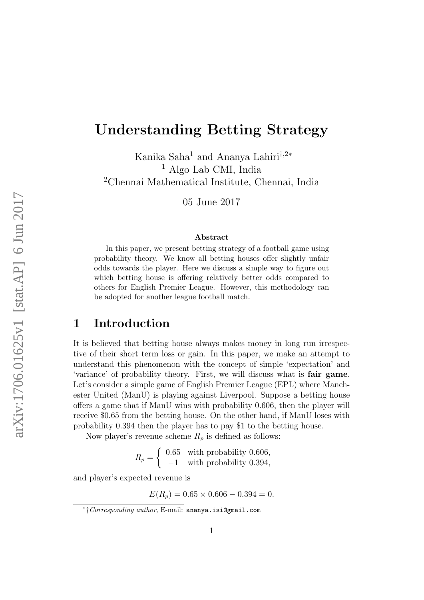# Understanding Betting Strategy

Kanika Saha<sup>1</sup> and Ananya Lahiri†,2<sup>∗</sup> <sup>1</sup> Algo Lab CMI, India <sup>2</sup>Chennai Mathematical Institute, Chennai, India

05 June 2017

#### Abstract

In this paper, we present betting strategy of a football game using probability theory. We know all betting houses offer slightly unfair odds towards the player. Here we discuss a simple way to figure out which betting house is offering relatively better odds compared to others for English Premier League. However, this methodology can be adopted for another league football match.

### 1 Introduction

It is believed that betting house always makes money in long run irrespective of their short term loss or gain. In this paper, we make an attempt to understand this phenomenon with the concept of simple 'expectation' and 'variance' of probability theory. First, we will discuss what is fair game. Let's consider a simple game of English Premier League (EPL) where Manchester United (ManU) is playing against Liverpool. Suppose a betting house offers a game that if ManU wins with probability 0.606, then the player will receive \$0.65 from the betting house. On the other hand, if ManU loses with probability 0.394 then the player has to pay \$1 to the betting house.

Now player's revenue scheme  $R_p$  is defined as follows:

$$
R_p = \begin{cases} 0.65 & \text{with probability } 0.606, \\ -1 & \text{with probability } 0.394, \end{cases}
$$

and player's expected revenue is

 $E(R_p) = 0.65 \times 0.606 - 0.394 = 0.$ 

<sup>∗</sup> †Corresponding author, E-mail: ananya.isi@gmail.com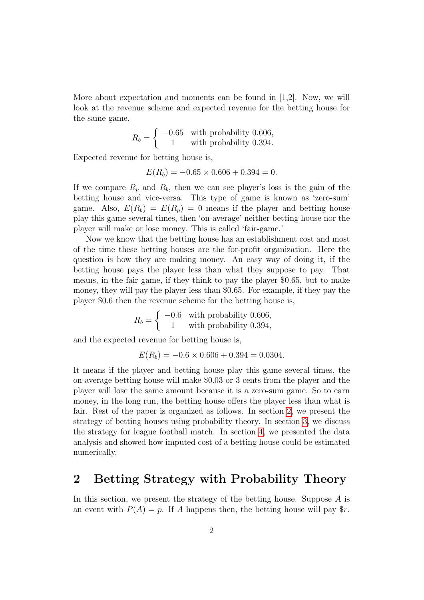More about expectation and moments can be found in [1,2]. Now, we will look at the revenue scheme and expected revenue for the betting house for the same game.

$$
R_b = \begin{cases} -0.65 & \text{with probability } 0.606, \\ 1 & \text{with probability } 0.394. \end{cases}
$$

Expected revenue for betting house is,

$$
E(R_b) = -0.65 \times 0.606 + 0.394 = 0.
$$

If we compare  $R_p$  and  $R_b$ , then we can see player's loss is the gain of the betting house and vice-versa. This type of game is known as 'zero-sum' game. Also,  $E(R_b) = E(R_n) = 0$  means if the player and betting house play this game several times, then 'on-average' neither betting house nor the player will make or lose money. This is called 'fair-game.'

Now we know that the betting house has an establishment cost and most of the time these betting houses are the for-profit organization. Here the question is how they are making money. An easy way of doing it, if the betting house pays the player less than what they suppose to pay. That means, in the fair game, if they think to pay the player \$0.65, but to make money, they will pay the player less than \$0.65. For example, if they pay the player \$0.6 then the revenue scheme for the betting house is,

$$
R_b = \begin{cases} \n-0.6 & \text{with probability } 0.606, \\ \n1 & \text{with probability } 0.394, \n\end{cases}
$$

and the expected revenue for betting house is,

$$
E(R_b) = -0.6 \times 0.606 + 0.394 = 0.0304.
$$

It means if the player and betting house play this game several times, the on-average betting house will make \$0.03 or 3 cents from the player and the player will lose the same amount because it is a zero-sum game. So to earn money, in the long run, the betting house offers the player less than what is fair. Rest of the paper is organized as follows. In section [2,](#page-1-0) we present the strategy of betting houses using probability theory. In section [3,](#page-3-0) we discuss the strategy for league football match. In section [4,](#page-4-0) we presented the data analysis and showed how imputed cost of a betting house could be estimated numerically.

### <span id="page-1-0"></span>2 Betting Strategy with Probability Theory

In this section, we present the strategy of the betting house. Suppose  $A$  is an event with  $P(A) = p$ . If A happens then, the betting house will pay  $r$ .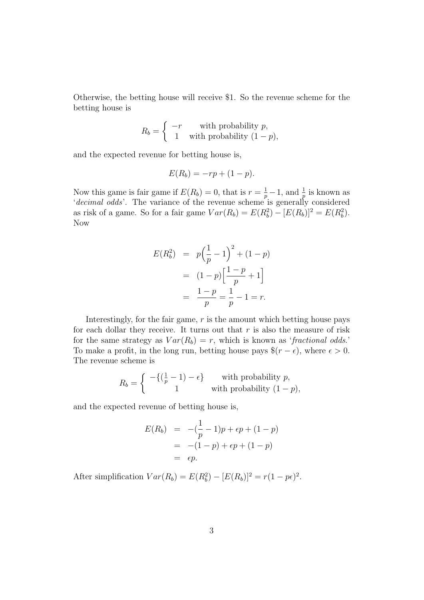Otherwise, the betting house will receive \$1. So the revenue scheme for the betting house is

$$
R_b = \begin{cases} -r & \text{with probability } p, \\ 1 & \text{with probability } (1-p), \end{cases}
$$

and the expected revenue for betting house is,

$$
E(R_b) = -rp + (1-p).
$$

Now this game is fair game if  $E(R_b) = 0$ , that is  $r = \frac{1}{p} - 1$ , and  $\frac{1}{p}$  is known as 'decimal odds'. The variance of the revenue scheme is generally considered as risk of a game. So for a fair game  $Var(R_b) = E(R_b^2) - [E(R_b)]^2 = E(R_b^2)$ . Now

$$
E(R_b^2) = p\left(\frac{1}{p} - 1\right)^2 + (1 - p)
$$
  
=  $(1 - p)\left[\frac{1 - p}{p} + 1\right]$   
=  $\frac{1 - p}{p} = \frac{1}{p} - 1 = r.$ 

Interestingly, for the fair game,  $r$  is the amount which betting house pays for each dollar they receive. It turns out that  $r$  is also the measure of risk for the same strategy as  $Var(R_b) = r$ , which is known as 'fractional odds.' To make a profit, in the long run, betting house pays  $\$(r - \epsilon)$ , where  $\epsilon > 0$ . The revenue scheme is

$$
R_b = \begin{cases} -\{(\frac{1}{p} - 1) - \epsilon\} & \text{with probability } p, \\ 1 & \text{with probability } (1 - p), \end{cases}
$$

and the expected revenue of betting house is,

$$
E(R_b) = -(\frac{1}{p} - 1)p + \epsilon p + (1 - p)
$$
  
= -(1 - p) + \epsilon p + (1 - p)  
= \epsilon p.

After simplification  $Var(R_b) = E(R_b^2) - [E(R_b)]^2 = r(1 - p\epsilon)^2$ .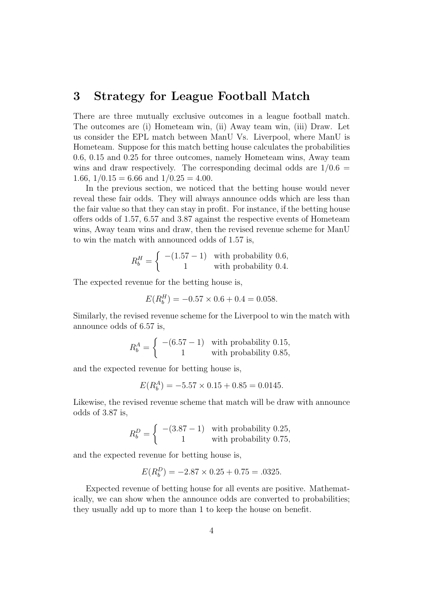### <span id="page-3-0"></span>3 Strategy for League Football Match

There are three mutually exclusive outcomes in a league football match. The outcomes are (i) Hometeam win, (ii) Away team win, (iii) Draw. Let us consider the EPL match between ManU Vs. Liverpool, where ManU is Hometeam. Suppose for this match betting house calculates the probabilities 0.6, 0.15 and 0.25 for three outcomes, namely Hometeam wins, Away team wins and draw respectively. The corresponding decimal odds are  $1/0.6$  = 1.66,  $1/0.15 = 6.66$  and  $1/0.25 = 4.00$ .

In the previous section, we noticed that the betting house would never reveal these fair odds. They will always announce odds which are less than the fair value so that they can stay in profit. For instance, if the betting house offers odds of 1.57, 6.57 and 3.87 against the respective events of Hometeam wins, Away team wins and draw, then the revised revenue scheme for ManU to win the match with announced odds of 1.57 is,

$$
R_b^H = \begin{cases} -(1.57 - 1) & \text{with probability } 0.6, \\ 1 & \text{with probability } 0.4. \end{cases}
$$

The expected revenue for the betting house is,

$$
E(R_b^H) = -0.57 \times 0.6 + 0.4 = 0.058.
$$

Similarly, the revised revenue scheme for the Liverpool to win the match with announce odds of 6.57 is,

$$
R_b^A = \begin{cases} -(6.57 - 1) & \text{with probability } 0.15, \\ 1 & \text{with probability } 0.85, \end{cases}
$$

and the expected revenue for betting house is,

$$
E(R_b^A) = -5.57 \times 0.15 + 0.85 = 0.0145.
$$

Likewise, the revised revenue scheme that match will be draw with announce odds of 3.87 is,

$$
R_b^D = \begin{cases} -(3.87 - 1) & \text{with probability } 0.25, \\ 1 & \text{with probability } 0.75, \end{cases}
$$

and the expected revenue for betting house is,

$$
E(R_b^D) = -2.87 \times 0.25 + 0.75 = .0325.
$$

Expected revenue of betting house for all events are positive. Mathematically, we can show when the announce odds are converted to probabilities; they usually add up to more than 1 to keep the house on benefit.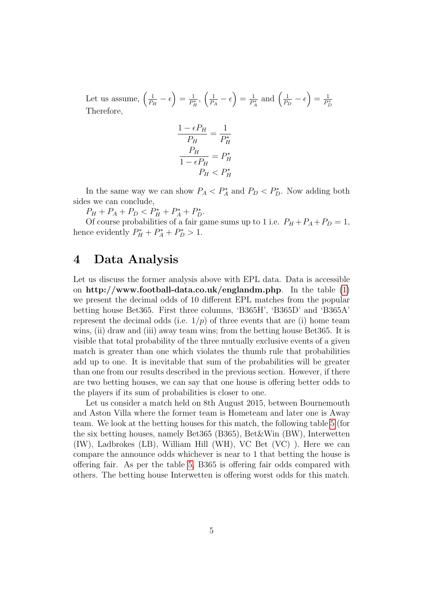Let us assume,  $\left(\frac{1}{P}\right)$  $\frac{1}{P_H}-\epsilon\Big)=\frac{1}{P_H^2}$  $\frac{1}{P_H^*}, \left(\frac{1}{P_A}\right)$  $\frac{1}{P_A} - \epsilon$ ) =  $\frac{1}{P_A}$  $\frac{1}{P_A^*}$  and  $\left(\frac{1}{P_B} \right)$  $\frac{1}{P_D} - \epsilon$ ) =  $\frac{1}{P_p}$  $\overline{P_D^*}$ Therefore,

$$
\frac{1 - \epsilon P_H}{P_H} = \frac{1}{P_H^*}
$$

$$
\frac{P_H}{1 - \epsilon P_H} = P_H^*
$$

$$
P_H < P_H^*
$$

In the same way we can show  $P_A < P_A^*$  and  $P_D < P_D^*$ . Now adding both sides we can conclude,

 $P_H + P_A + P_D < P_H^* + P_A^* + P_D^*$ .

Of course probabilities of a fair game sums up to 1 i.e.  $P_H + P_A + P_D = 1$ , hence evidently  $P_H^* + P_A^* + P_D^* > 1$ .

### <span id="page-4-0"></span>4 Data Analysis

Let us discuss the former analysis above with EPL data. Data is accessible on http://www.football-data.co.uk/englandm.php. In the table [\(1\)](#page-8-0) we present the decimal odds of 10 different EPL matches from the popular betting house Bet365. First three columns, 'B365H', 'B365D' and 'B365A' represent the decimal odds (i.e.  $1/p$ ) of three events that are (i) home team wins, (ii) draw and (iii) away team wins; from the betting house Bet365. It is visible that total probability of the three mutually exclusive events of a given match is greater than one which violates the thumb rule that probabilities add up to one. It is inevitable that sum of the probabilities will be greater than one from our results described in the previous section. However, if there are two betting houses, we can say that one house is offering better odds to the players if its sum of probabilities is closer to one.

Let us consider a match held on 8th August 2015, between Bournemouth and Aston Villa where the former team is Hometeam and later one is Away team. We look at the betting houses for this match, the following table [5](#page-8-0) (for the six betting houses, namely Bet365 (B365), Bet&Win (BW), Interwetten (IW), Ladbrokes (LB), William Hill (WH), VC Bet (VC) ). Here we can compare the announce odds whichever is near to 1 that betting the house is offering fair. As per the table [5,](#page-8-0) B365 is offering fair odds compared with others. The betting house Interwetten is offering worst odds for this match.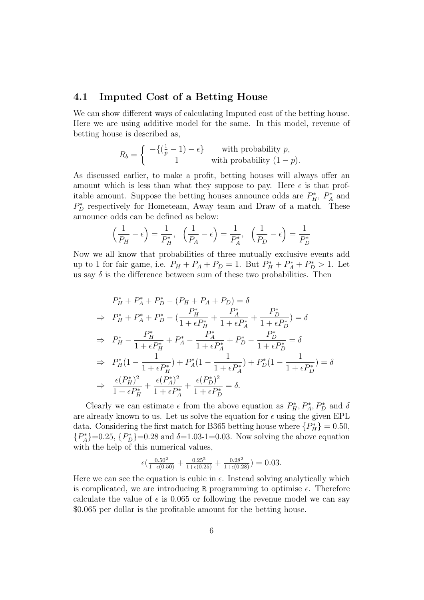### 4.1 Imputed Cost of a Betting House

We can show different ways of calculating Imputed cost of the betting house. Here we are using additive model for the same. In this model, revenue of betting house is described as,

$$
R_b = \begin{cases} -\{(\frac{1}{p} - 1) - \epsilon\} & \text{with probability } p, \\ 1 & \text{with probability } (1 - p). \end{cases}
$$

As discussed earlier, to make a profit, betting houses will always offer an amount which is less than what they suppose to pay. Here  $\epsilon$  is that profitable amount. Suppose the betting houses announce odds are  $P_H^*$ ,  $P_A^*$  and  $P_D^*$  respectively for Hometeam, Away team and Draw of a match. These announce odds can be defined as below:

$$
\left(\frac{1}{P_H} - \epsilon\right) = \frac{1}{P_H^*}, \quad \left(\frac{1}{P_A} - \epsilon\right) = \frac{1}{P_A^*}, \quad \left(\frac{1}{P_D} - \epsilon\right) = \frac{1}{P_D^*}
$$

Now we all know that probabilities of three mutually exclusive events add up to 1 for fair game, i.e.  $P_H + P_A + P_D = 1$ . But  $P_H^* + P_A^* + P_D^* > 1$ . Let us say  $\delta$  is the difference between sum of these two probabilities. Then

$$
P_{H}^{*} + P_{A}^{*} + P_{D}^{*} - (P_{H} + P_{A} + P_{D}) = \delta
$$
  
\n
$$
\Rightarrow P_{H}^{*} + P_{A}^{*} + P_{D}^{*} - (\frac{P_{H}^{*}}{1 + \epsilon P_{H}^{*}} + \frac{P_{A}^{*}}{1 + \epsilon P_{A}^{*}} + \frac{P_{D}^{*}}{1 + \epsilon P_{D}^{*}}) = \delta
$$
  
\n
$$
\Rightarrow P_{H}^{*} - \frac{P_{H}^{*}}{1 + \epsilon P_{H}^{*}} + P_{A}^{*} - \frac{P_{A}^{*}}{1 + \epsilon P_{A}^{*}} + P_{D}^{*} - \frac{P_{D}^{*}}{1 + \epsilon P_{D}^{*}} = \delta
$$
  
\n
$$
\Rightarrow P_{H}^{*}(1 - \frac{1}{1 + \epsilon P_{H}^{*}}) + P_{A}^{*}(1 - \frac{1}{1 + \epsilon P_{A}^{*}}) + P_{D}^{*}(1 - \frac{1}{1 + \epsilon P_{D}^{*}}) = \delta
$$
  
\n
$$
\Rightarrow \frac{\epsilon(P_{H}^{*})^{2}}{1 + \epsilon P_{H}^{*}} + \frac{\epsilon(P_{A}^{*})^{2}}{1 + \epsilon P_{A}^{*}} + \frac{\epsilon(P_{D}^{*})^{2}}{1 + \epsilon P_{D}^{*}} = \delta.
$$

Clearly we can estimate  $\epsilon$  from the above equation as  $P_H^*, P_A^*, P_D^*$  and  $\delta$ are already known to us. Let us solve the equation for  $\epsilon$  using the given EPL data. Considering the first match for B365 betting house where  $\{P_H^*\}=0.50$ ,  ${P_A^*}$ =0.25,  ${P_B^*}$ =0.28 and  $\delta$ =1.03-1=0.03. Now solving the above equation with the help of this numerical values,

$$
\epsilon \left( \frac{0.50^2}{1 + \epsilon (0.50)} + \frac{0.25^2}{1 + \epsilon (0.25)} + \frac{0.28^2}{1 + \epsilon (0.28)} \right) = 0.03.
$$

Here we can see the equation is cubic in  $\epsilon$ . Instead solving analytically which is complicated, we are introducing R programming to optimise  $\epsilon$ . Therefore calculate the value of  $\epsilon$  is 0.065 or following the revenue model we can say \$0.065 per dollar is the profitable amount for the betting house.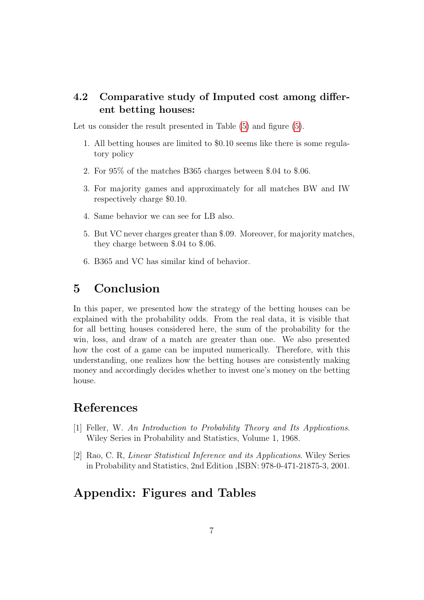### 4.2 Comparative study of Imputed cost among different betting houses:

Let us consider the result presented in Table  $(5)$  and figure  $(5)$ .

- 1. All betting houses are limited to \$0.10 seems like there is some regulatory policy
- 2. For 95% of the matches B365 charges between \$.04 to \$.06.
- 3. For majority games and approximately for all matches BW and IW respectively charge \$0.10.
- 4. Same behavior we can see for LB also.
- 5. But VC never charges greater than \$.09. Moreover, for majority matches, they charge between \$.04 to \$.06.
- 6. B365 and VC has similar kind of behavior.

## 5 Conclusion

In this paper, we presented how the strategy of the betting houses can be explained with the probability odds. From the real data, it is visible that for all betting houses considered here, the sum of the probability for the win, loss, and draw of a match are greater than one. We also presented how the cost of a game can be imputed numerically. Therefore, with this understanding, one realizes how the betting houses are consistently making money and accordingly decides whether to invest one's money on the betting house.

### References

- [1] Feller, W. An Introduction to Probability Theory and Its Applications. Wiley Series in Probability and Statistics, Volume 1, 1968.
- [2] Rao, C. R, Linear Statistical Inference and its Applications. Wiley Series in Probability and Statistics, 2nd Edition ,ISBN: 978-0-471-21875-3, 2001.

### Appendix: Figures and Tables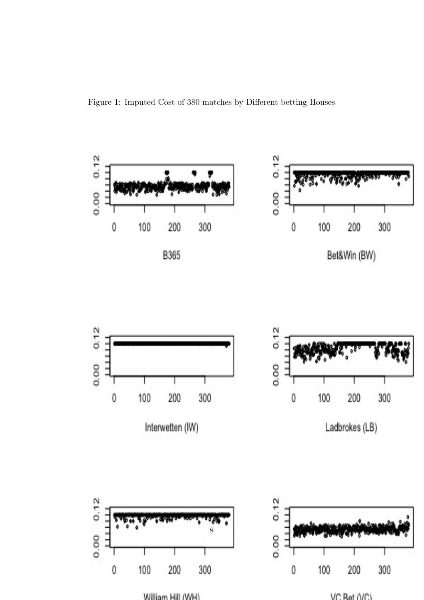Figure 1: Imputed Cost of 380 matches by Different betting Houses



**William Lill AMLIV**